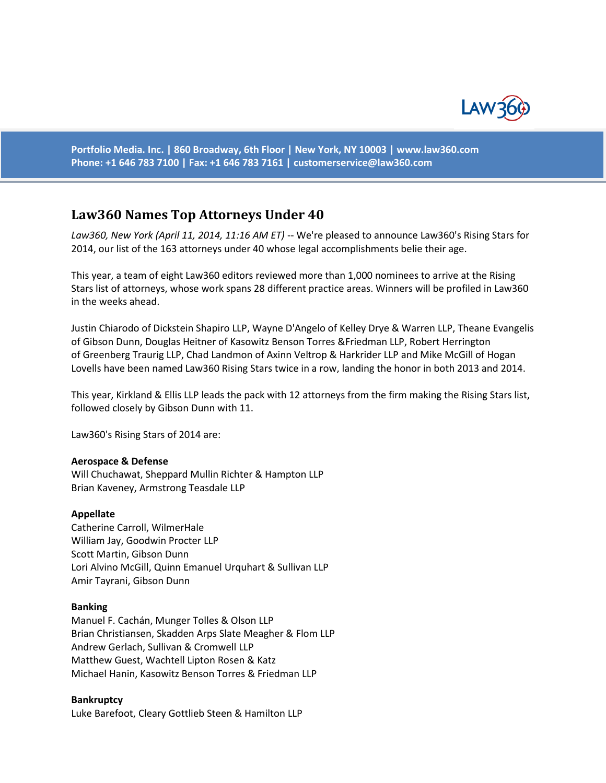

**Portfolio Media. Inc. | 860 Broadway, 6th Floor | New York, NY 10003 | www.law360.com Phone: +1 646 783 7100 | Fax: +1 646 783 7161 | [customerservice@law360.com](mailto:customerservice@law360.com)**

# **Law360 Names Top Attorneys Under 40**

*Law360, New York (April 11, 2014, 11:16 AM ET)* -- We're pleased to announce Law360's Rising Stars for 2014, our list of the 163 attorneys under 40 whose legal accomplishments belie their age.

This year, a team of eight Law360 editors reviewed more than 1,000 nominees to arrive at the Rising Stars list of attorneys, whose work spans 28 different practice areas. Winners will be profiled in Law360 in the weeks ahead.

Justin Chiarodo of Dickstein Shapiro LLP, Wayne D'Angelo of Kelley Drye & Warren LLP, Theane Evangelis of Gibson Dunn, Douglas Heitner of Kasowitz Benson Torres &Friedman LLP, Robert Herrington of Greenberg Traurig LLP, Chad Landmon of Axinn Veltrop & Harkrider LLP and Mike McGill of Hogan Lovells have been named Law360 Rising Stars twice in a row, landing the honor in both 2013 and 2014.

This year, Kirkland & Ellis LLP leads the pack with 12 attorneys from the firm making the Rising Stars list, followed closely by Gibson Dunn with 11.

Law360's Rising Stars of 2014 are:

#### **Aerospace & Defense**

Will Chuchawat, Sheppard Mullin Richter & Hampton LLP Brian Kaveney, Armstrong Teasdale LLP

#### **Appellate**

Catherine Carroll, WilmerHale William Jay, Goodwin Procter LLP Scott Martin, Gibson Dunn Lori Alvino McGill, Quinn Emanuel Urquhart & Sullivan LLP Amir Tayrani, Gibson Dunn

#### **Banking**

Manuel F. Cachán, Munger Tolles & Olson LLP Brian Christiansen, Skadden Arps Slate Meagher & Flom LLP Andrew Gerlach, Sullivan & Cromwell LLP Matthew Guest, Wachtell Lipton Rosen & Katz Michael Hanin, Kasowitz Benson Torres & Friedman LLP

# **Bankruptcy**

Luke Barefoot, Cleary Gottlieb Steen & Hamilton LLP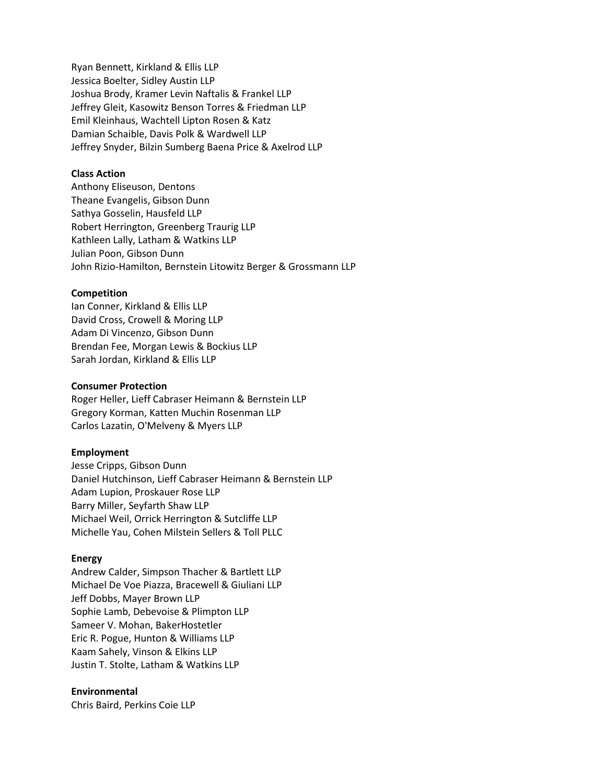Ryan Bennett, Kirkland & Ellis LLP Jessica Boelter, Sidley Austin LLP Joshua Brody, Kramer Levin Naftalis & Frankel LLP Jeffrey Gleit, Kasowitz Benson Torres & Friedman LLP Emil Kleinhaus, Wachtell Lipton Rosen & Katz Damian Schaible, Davis Polk & Wardwell LLP Jeffrey Snyder, Bilzin Sumberg Baena Price & Axelrod LLP

## **Class Action**

Anthony Eliseuson, Dentons Theane Evangelis, Gibson Dunn Sathya Gosselin, Hausfeld LLP Robert Herrington, Greenberg Traurig LLP Kathleen Lally, Latham & Watkins LLP Julian Poon, Gibson Dunn John Rizio-Hamilton, Bernstein Litowitz Berger & Grossmann LLP

# **Competition**

Ian Conner, Kirkland & Ellis LLP David Cross, Crowell & Moring LLP Adam Di Vincenzo, Gibson Dunn Brendan Fee, Morgan Lewis & Bockius LLP Sarah Jordan, Kirkland & Ellis LLP

# **Consumer Protection**

Roger Heller, Lieff Cabraser Heimann & Bernstein LLP Gregory Korman, Katten Muchin Rosenman LLP Carlos Lazatin, O'Melveny & Myers LLP

### **Employment**

Jesse Cripps, Gibson Dunn Daniel Hutchinson, Lieff Cabraser Heimann & Bernstein LLP Adam Lupion, Proskauer Rose LLP Barry Miller, Seyfarth Shaw LLP Michael Weil, Orrick Herrington & Sutcliffe LLP Michelle Yau, Cohen Milstein Sellers & Toll PLLC

### **Energy**

Andrew Calder, Simpson Thacher & Bartlett LLP Michael De Voe Piazza, Bracewell & Giuliani LLP Jeff Dobbs, Mayer Brown LLP Sophie Lamb, Debevoise & Plimpton LLP Sameer V. Mohan, BakerHostetler Eric R. Pogue, Hunton & Williams LLP Kaam Sahely, Vinson & Elkins LLP Justin T. Stolte, Latham & Watkins LLP

# **Environmental**

Chris Baird, Perkins Coie LLP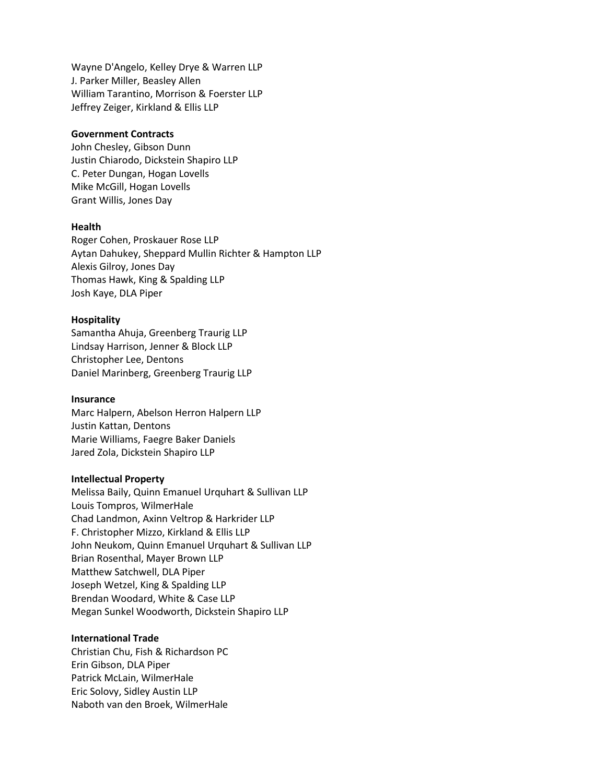Wayne D'Angelo, Kelley Drye & Warren LLP J. Parker Miller, Beasley Allen William Tarantino, Morrison & Foerster LLP Jeffrey Zeiger, Kirkland & Ellis LLP

### **Government Contracts**

John Chesley, Gibson Dunn Justin Chiarodo, Dickstein Shapiro LLP C. Peter Dungan, Hogan Lovells Mike McGill, Hogan Lovells Grant Willis, Jones Day

### **Health**

Roger Cohen, Proskauer Rose LLP Aytan Dahukey, Sheppard Mullin Richter & Hampton LLP Alexis Gilroy, Jones Day Thomas Hawk, King & Spalding LLP Josh Kaye, DLA Piper

#### **Hospitality**

Samantha Ahuja, Greenberg Traurig LLP Lindsay Harrison, Jenner & Block LLP Christopher Lee, Dentons Daniel Marinberg, Greenberg Traurig LLP

#### **Insurance**

Marc Halpern, Abelson Herron Halpern LLP Justin Kattan, Dentons Marie Williams, Faegre Baker Daniels Jared Zola, Dickstein Shapiro LLP

#### **Intellectual Property**

Melissa Baily, Quinn Emanuel Urquhart & Sullivan LLP Louis Tompros, WilmerHale Chad Landmon, Axinn Veltrop & Harkrider LLP F. Christopher Mizzo, Kirkland & Ellis LLP John Neukom, Quinn Emanuel Urquhart & Sullivan LLP Brian Rosenthal, Mayer Brown LLP Matthew Satchwell, DLA Piper Joseph Wetzel, King & Spalding LLP Brendan Woodard, White & Case LLP Megan Sunkel Woodworth, Dickstein Shapiro LLP

### **International Trade**

Christian Chu, Fish & Richardson PC Erin Gibson, DLA Piper Patrick McLain, WilmerHale Eric Solovy, Sidley Austin LLP Naboth van den Broek, WilmerHale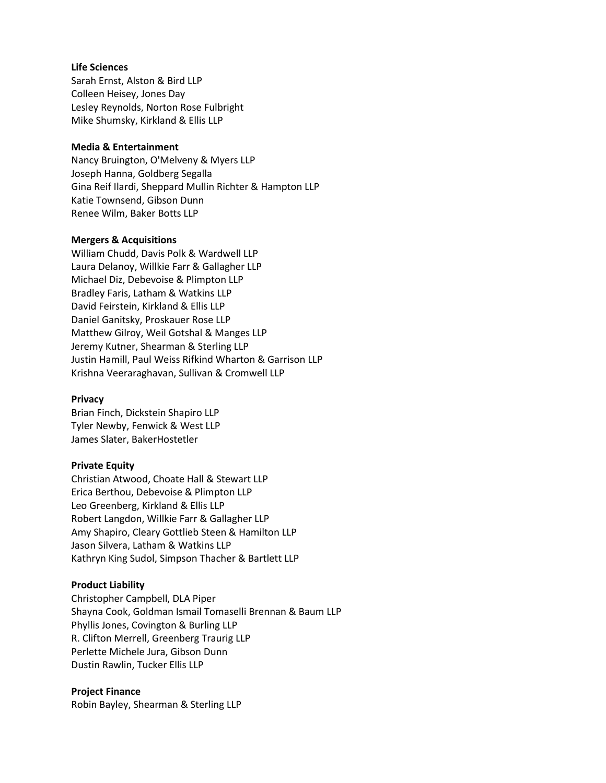## **Life Sciences**

Sarah Ernst, Alston & Bird LLP Colleen Heisey, Jones Day Lesley Reynolds, Norton Rose Fulbright Mike Shumsky, Kirkland & Ellis LLP

# **Media & Entertainment**

Nancy Bruington, O'Melveny & Myers LLP Joseph Hanna, Goldberg Segalla Gina Reif Ilardi, Sheppard Mullin Richter & Hampton LLP Katie Townsend, Gibson Dunn Renee Wilm, Baker Botts LLP

# **Mergers & Acquisitions**

William Chudd, Davis Polk & Wardwell LLP Laura Delanoy, Willkie Farr & Gallagher LLP Michael Diz, Debevoise & Plimpton LLP Bradley Faris, Latham & Watkins LLP David Feirstein, Kirkland & Ellis LLP Daniel Ganitsky, Proskauer Rose LLP Matthew Gilroy, Weil Gotshal & Manges LLP Jeremy Kutner, Shearman & Sterling LLP Justin Hamill, Paul Weiss Rifkind Wharton & Garrison LLP Krishna Veeraraghavan, Sullivan & Cromwell LLP

# **Privacy**

Brian Finch, Dickstein Shapiro LLP Tyler Newby, Fenwick & West LLP James Slater, BakerHostetler

# **Private Equity**

Christian Atwood, Choate Hall & Stewart LLP Erica Berthou, Debevoise & Plimpton LLP Leo Greenberg, Kirkland & Ellis LLP Robert Langdon, Willkie Farr & Gallagher LLP Amy Shapiro, Cleary Gottlieb Steen & Hamilton LLP Jason Silvera, Latham & Watkins LLP Kathryn King Sudol, Simpson Thacher & Bartlett LLP

# **Product Liability**

Christopher Campbell, DLA Piper Shayna Cook, Goldman Ismail Tomaselli Brennan & Baum LLP Phyllis Jones, Covington & Burling LLP R. Clifton Merrell, Greenberg Traurig LLP Perlette Michele Jura, Gibson Dunn Dustin Rawlin, Tucker Ellis LLP

# **Project Finance**

Robin Bayley, Shearman & Sterling LLP